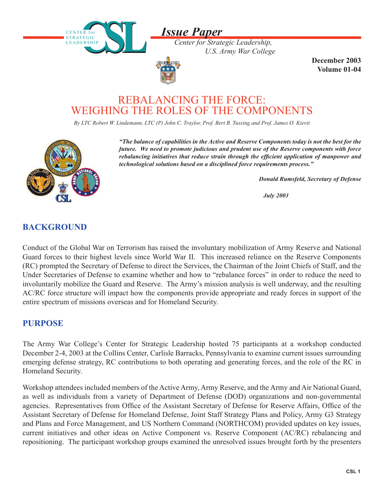

*Center for Strategic Leadership, U.S. Army War College*



CENTER for STRATEGIC LEADERSHIP

**STRATEGIC** L E A D E R S H I P

> **December 2003 Volume 01-04**

# REBALANCING THE FORCE: WEIGHING THE ROLES OF THE COMPONENTS

*By LTC Robert W. Lindemann, LTC (P) John C. Traylor, Prof. Bert B. Tussing and Prof. James O. Kievit* 



*"The balance of capabilities in the Active and Reserve Components today is not the best for the future. We need to promote judicious and prudent use of the Reserve components with force rebalancing initiatives that reduce strain through the efficient application of manpower and technological solutions based on a disciplined force requirements process."*

*Donald Rumsfeld, Secretary of Defense*

 *July 2003*

### **BACKGROUND**

Conduct of the Global War on Terrorism has raised the involuntary mobilization of Army Reserve and National Guard forces to their highest levels since World War II. This increased reliance on the Reserve Components (RC) prompted the Secretary of Defense to direct the Services, the Chairman of the Joint Chiefs of Staff, and the Under Secretaries of Defense to examine whether and how to "rebalance forces" in order to reduce the need to involuntarily mobilize the Guard and Reserve. The Army's mission analysis is well underway, and the resulting AC/RC force structure will impact how the components provide appropriate and ready forces in support of the entire spectrum of missions overseas and for Homeland Security.

#### **PURPOSE**

The Army War College's Center for Strategic Leadership hosted 75 participants at a workshop conducted December 2-4, 2003 at the Collins Center, Carlisle Barracks, Pennsylvania to examine current issues surrounding emerging defense strategy, RC contributions to both operating and generating forces, and the role of the RC in Homeland Security.

Workshop attendees included members of the Active Army, Army Reserve, and the Army and Air National Guard, as well as individuals from a variety of Department of Defense (DOD) organizations and non-governmental agencies. Representatives from Office of the Assistant Secretary of Defense for Reserve Affairs, Office of the Assistant Secretary of Defense for Homeland Defense, Joint Staff Strategy Plans and Policy, Army G3 Strategy and Plans and Force Management, and US Northern Command (NORTHCOM) provided updates on key issues, current initiatives and other ideas on Active Component vs. Reserve Component (AC/RC) rebalancing and repositioning. The participant workshop groups examined the unresolved issues brought forth by the presenters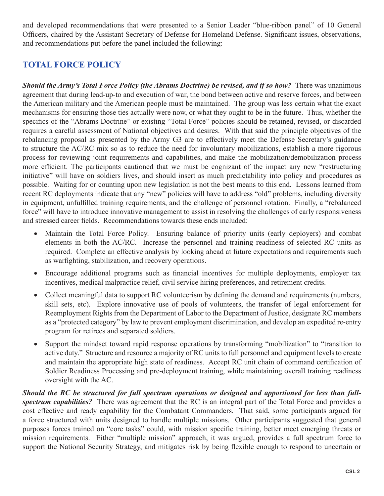and developed recommendations that were presented to a Senior Leader "blue-ribbon panel" of 10 General Officers, chaired by the Assistant Secretary of Defense for Homeland Defense. Significant issues, observations, and recommendations put before the panel included the following:

## **TOTAL FORCE POLICY**

*Should the Army's Total Force Policy (the Abrams Doctrine) be revised, and if so how?* **There was unanimous** agreement that during lead-up-to and execution of war, the bond between active and reserve forces, and between the American military and the American people must be maintained. The group was less certain what the exact mechanisms for ensuring those ties actually were now, or what they ought to be in the future. Thus, whether the specifics of the "Abrams Doctrine" or existing "Total Force" policies should be retained, revised, or discarded requires a careful assessment of National objectives and desires. With that said the principle objectives of the rebalancing proposal as presented by the Army G3 are to effectively meet the Defense Secretary's guidance to structure the AC/RC mix so as to reduce the need for involuntary mobilizations, establish a more rigorous process for reviewing joint requirements and capabilities, and make the mobilization/demobilization process more efficient. The participants cautioned that we must be cognizant of the impact any new "restructuring" initiative" will have on soldiers lives, and should insert as much predictability into policy and procedures as possible. Waiting for or counting upon new legislation is not the best means to this end. Lessons learned from recent RC deployments indicate that any "new" policies will have to address "old" problems, including diversity in equipment, unfulfi lled training requirements, and the challenge of personnel rotation. Finally, a "rebalanced force" will have to introduce innovative management to assist in resolving the challenges of early responsiveness and stressed career fields. Recommendations towards these ends included:

- Maintain the Total Force Policy. Ensuring balance of priority units (early deployers) and combat elements in both the AC/RC. Increase the personnel and training readiness of selected RC units as required. Complete an effective analysis by looking ahead at future expectations and requirements such as warfighting, stabilization, and recovery operations.
- Encourage additional programs such as financial incentives for multiple deployments, employer tax incentives, medical malpractice relief, civil service hiring preferences, and retirement credits.
- Collect meaningful data to support RC volunteerism by defining the demand and requirements (numbers, skill sets, etc). Explore innovative use of pools of volunteers, the transfer of legal enforcement for Reemployment Rights from the Department of Labor to the Department of Justice, designate RC members as a "protected category" by law to prevent employment discrimination, and develop an expedited re-entry program for retirees and separated soldiers.
- Support the mindset toward rapid response operations by transforming "mobilization" to "transition to active duty." Structure and resource a majority of RC units to full personnel and equipment levels to create and maintain the appropriate high state of readiness. Accept RC unit chain of command certification of Soldier Readiness Processing and pre-deployment training, while maintaining overall training readiness oversight with the AC.

*Should the RC be structured for full spectrum operations or designed and apportioned for less than fullspectrum capabilities?* There was agreement that the RC is an integral part of the Total Force and provides a cost effective and ready capability for the Combatant Commanders. That said, some participants argued for a force structured with units designed to handle multiple missions. Other participants suggested that general purposes forces trained on "core tasks" could, with mission specific training, better meet emerging threats or mission requirements. Either "multiple mission" approach, it was argued, provides a full spectrum force to support the National Security Strategy, and mitigates risk by being flexible enough to respond to uncertain or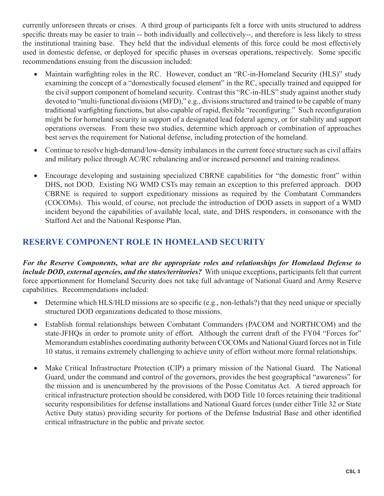currently unforeseen threats or crises. A third group of participants felt a force with units structured to address specific threats may be easier to train -- both individually and collectively--, and therefore is less likely to stress the institutional training base. They held that the individual elements of this force could be most effectively used in domestic defense, or deployed for specific phases in overseas operations, respectively. Some specific recommendations ensuing from the discussion included:

- Maintain warfighting roles in the RC. However, conduct an "RC-in-Homeland Security (HLS)" study examining the concept of a "domestically focused element" in the RC, specially trained and equipped for the civil support component of homeland security. Contrast this "RC-in-HLS" study against another study devoted to "multi-functional divisions (MFD)," e.g., divisions structured and trained to be capable of many traditional warfighting functions, but also capable of rapid, flexible "reconfiguring." Such reconfiguration might be for homeland security in support of a designated lead federal agency, or for stability and support operations overseas. From these two studies, determine which approach or combination of approaches best serves the requirement for National defense, including protection of the homeland.
- Continue to resolve high-demand/low-density imbalances in the current force structure such as civil affairs and military police through AC/RC rebalancing and/or increased personnel and training readiness.
- Encourage developing and sustaining specialized CBRNE capabilities for "the domestic front" within DHS, not DOD. Existing NG WMD CSTs may remain an exception to this preferred approach. DOD CBRNE is required to support expeditionary missions as required by the Combatant Commanders (COCOMs). This would, of course, not preclude the introduction of DOD assets in support of a WMD incident beyond the capabilities of available local, state, and DHS responders, in consonance with the Stafford Act and the National Response Plan.

## **RESERVE COMPONENT ROLE IN HOMELAND SECURITY**

*For the Reserve Components, what are the appropriate roles and relationships for Homeland Defense to include DOD, external agencies, and the states/territories?* With unique exceptions, participants felt that current force apportionment for Homeland Security does not take full advantage of National Guard and Army Reserve capabilities. Recommendations included:

- Determine which HLS/HLD missions are so specific (e.g., non-lethals?) that they need unique or specially structured DOD organizations dedicated to those missions.
- Establish formal relationships between Combatant Commanders (PACOM and NORTHCOM) and the state-JFHQs in order to promote unity of effort. Although the current draft of the FY04 "Forces for" Memorandum establishes coordinating authority between COCOMs and National Guard forces not in Title 10 status, it remains extremely challenging to achieve unity of effort without more formal relationships.
- Make Critical Infrastructure Protection (CIP) a primary mission of the National Guard. The National Guard, under the command and control of the governors, provides the best geographical "awareness" for the mission and is unencumbered by the provisions of the Posse Comitatus Act. A tiered approach for critical infrastructure protection should be considered, with DOD Title 10 forces retaining their traditional security responsibilities for defense installations and National Guard forces (under either Title 32 or State Active Duty status) providing security for portions of the Defense Industrial Base and other identified critical infrastructure in the public and private sector.